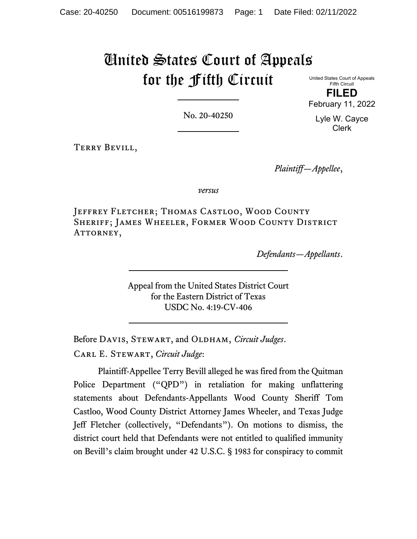# United States Court of Appeals for the Fifth Circuit

United States Court of Appeals Fifth Circuit **FILED** February 11, 2022

No. 20-40250

Lyle W. Cayce Clerk

Terry Bevill,

*Plaintiff—Appellee*,

*versus*

Jeffrey Fletcher; Thomas Castloo, Wood County Sheriff; James Wheeler, Former Wood County District ATTORNEY,

*Defendants—Appellants*.

Appeal from the United States District Court for the Eastern District of Texas USDC No. 4:19-CV-406

Before DAVIS, STEWART, and OLDHAM, *Circuit Judges*.

Carl E. Stewart, *Circuit Judge*:

Plaintiff-Appellee Terry Bevill alleged he was fired from the Quitman Police Department ("QPD") in retaliation for making unflattering statements about Defendants-Appellants Wood County Sheriff Tom Castloo, Wood County District Attorney James Wheeler, and Texas Judge Jeff Fletcher (collectively, "Defendants"). On motions to dismiss, the district court held that Defendants were not entitled to qualified immunity on Bevill's claim brought under 42 U.S.C. § 1983 for conspiracy to commit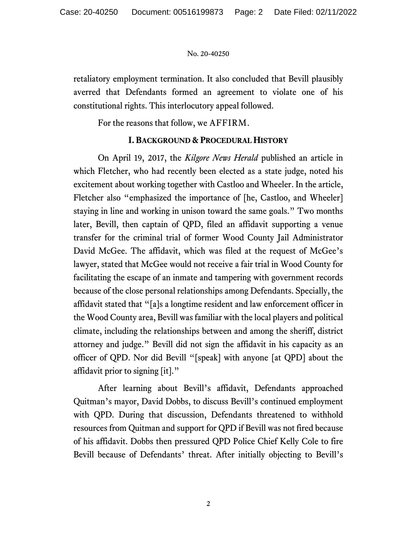retaliatory employment termination. It also concluded that Bevill plausibly averred that Defendants formed an agreement to violate one of his constitutional rights. This interlocutory appeal followed.

For the reasons that follow, we AFFIRM.

# **I. BACKGROUND & PROCEDURAL HISTORY**

On April 19, 2017, the *Kilgore News Herald* published an article in which Fletcher, who had recently been elected as a state judge, noted his excitement about working together with Castloo and Wheeler. In the article, Fletcher also "emphasized the importance of [he, Castloo, and Wheeler] staying in line and working in unison toward the same goals." Two months later, Bevill, then captain of QPD, filed an affidavit supporting a venue transfer for the criminal trial of former Wood County Jail Administrator David McGee. The affidavit, which was filed at the request of McGee's lawyer, stated that McGee would not receive a fair trial in Wood County for facilitating the escape of an inmate and tampering with government records because of the close personal relationships among Defendants. Specially, the affidavit stated that "[a]s a longtime resident and law enforcement officer in the Wood County area, Bevill was familiar with the local players and political climate, including the relationships between and among the sheriff, district attorney and judge." Bevill did not sign the affidavit in his capacity as an officer of QPD. Nor did Bevill "[speak] with anyone [at QPD] about the affidavit prior to signing [it]."

After learning about Bevill's affidavit, Defendants approached Quitman's mayor, David Dobbs, to discuss Bevill's continued employment with QPD. During that discussion, Defendants threatened to withhold resources from Quitman and support for QPD if Bevill was not fired because of his affidavit. Dobbs then pressured QPD Police Chief Kelly Cole to fire Bevill because of Defendants' threat. After initially objecting to Bevill's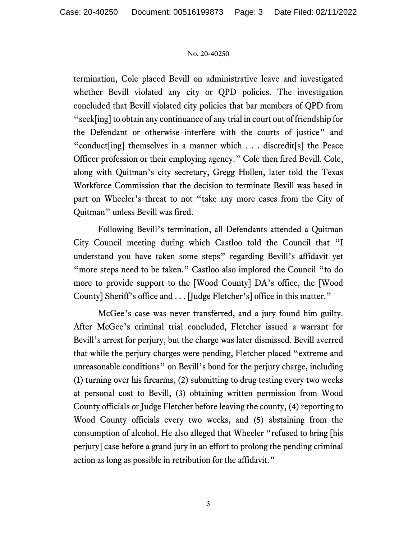termination, Cole placed Bevill on administrative leave and investigated whether Bevill violated any city or QPD policies. The investigation concluded that Bevill violated city policies that bar members of QPD from "seek[ing] to obtain any continuance of any trial in court out of friendship for the Defendant or otherwise interfere with the courts of justice" and "conduct[ing] themselves in a manner which . . . discredit[s] the Peace Officer profession or their employing agency." Cole then fired Bevill. Cole, along with Quitman's city secretary, Gregg Hollen, later told the Texas Workforce Commission that the decision to terminate Bevill was based in part on Wheeler's threat to not "take any more cases from the City of Quitman" unless Bevill was fired.

Following Bevill's termination, all Defendants attended a Quitman City Council meeting during which Castloo told the Council that "I understand you have taken some steps" regarding Bevill's affidavit yet "more steps need to be taken." Castloo also implored the Council "to do more to provide support to the [Wood County] DA's office, the [Wood County] Sheriff's office and . . . [Judge Fletcher's] office in this matter."

McGee's case was never transferred, and a jury found him guilty. After McGee's criminal trial concluded, Fletcher issued a warrant for Bevill's arrest for perjury, but the charge was later dismissed. Bevill averred that while the perjury charges were pending, Fletcher placed "extreme and unreasonable conditions" on Bevill's bond for the perjury charge, including (1) turning over his firearms, (2) submitting to drug testing every two weeks at personal cost to Bevill, (3) obtaining written permission from Wood County officials or Judge Fletcher before leaving the county, (4) reporting to Wood County officials every two weeks, and (5) abstaining from the consumption of alcohol. He also alleged that Wheeler "refused to bring [his perjury] case before a grand jury in an effort to prolong the pending criminal action as long as possible in retribution for the affidavit."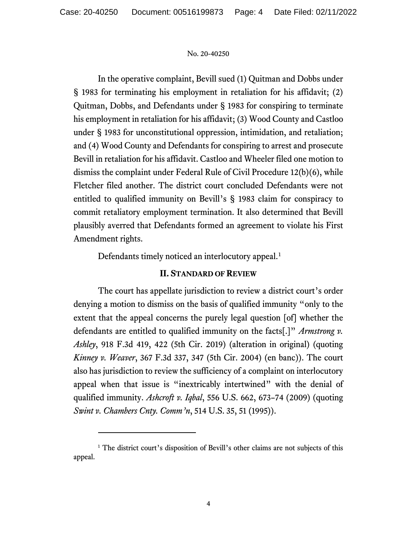In the operative complaint, Bevill sued (1) Quitman and Dobbs under § 1983 for terminating his employment in retaliation for his affidavit; (2) Quitman, Dobbs, and Defendants under § 1983 for conspiring to terminate his employment in retaliation for his affidavit; (3) Wood County and Castloo under § 1983 for unconstitutional oppression, intimidation, and retaliation; and (4) Wood County and Defendants for conspiring to arrest and prosecute Bevill in retaliation for his affidavit. Castloo and Wheeler filed one motion to dismiss the complaint under Federal Rule of Civil Procedure 12(b)(6), while Fletcher filed another. The district court concluded Defendants were not entitled to qualified immunity on Bevill's § 1983 claim for conspiracy to commit retaliatory employment termination. It also determined that Bevill plausibly averred that Defendants formed an agreement to violate his First Amendment rights.

Defendants timely noticed an interlocutory appeal.<sup>[1](#page-3-0)</sup>

# **II. STANDARD OF REVIEW**

The court has appellate jurisdiction to review a district court's order denying a motion to dismiss on the basis of qualified immunity "only to the extent that the appeal concerns the purely legal question [of] whether the defendants are entitled to qualified immunity on the facts[.]" *Armstrong v. Ashley*, 918 F.3d 419, 422 (5th Cir. 2019) (alteration in original) (quoting *Kinney v. Weaver*, 367 F.3d 337, 347 (5th Cir. 2004) (en banc)). The court also has jurisdiction to review the sufficiency of a complaint on interlocutory appeal when that issue is "inextricably intertwined" with the denial of qualified immunity. *Ashcroft v. Iqbal*, 556 U.S. 662, 673–74 (2009) (quoting *Swint v. Chambers Cnty. Comm'n*, 514 U.S. 35, 51 (1995)).

<span id="page-3-0"></span><sup>&</sup>lt;sup>1</sup> The district court's disposition of Bevill's other claims are not subjects of this appeal.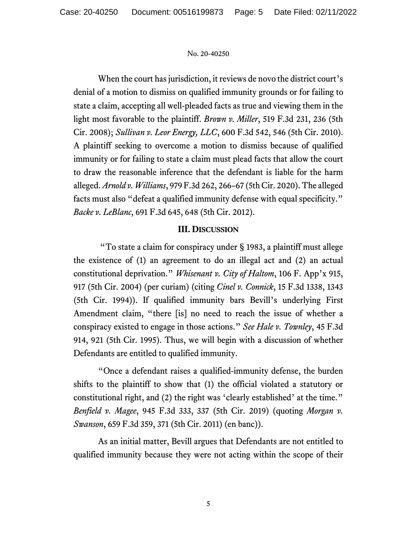When the court has jurisdiction, it reviews de novo the district court's denial of a motion to dismiss on qualified immunity grounds or for failing to state a claim, accepting all well-pleaded facts as true and viewing them in the light most favorable to the plaintiff. *Brown v. Miller*, 519 F.3d 231, 236 (5th Cir. 2008); *Sullivan v. Leor Energy, LLC*, 600 F.3d 542, 546 (5th Cir. 2010). A plaintiff seeking to overcome a motion to dismiss because of qualified immunity or for failing to state a claim must plead facts that allow the court to draw the reasonable inference that the defendant is liable for the harm alleged. *Arnold v. Williams*, 979 F.3d 262, 266–67 (5th Cir. 2020). The alleged facts must also "defeat a qualified immunity defense with equal specificity." *Backe v. LeBlanc*, 691 F.3d 645, 648 (5th Cir. 2012).

# **III. DISCUSSION**

"To state a claim for conspiracy under § 1983, a plaintiff must allege the existence of (1) an agreement to do an illegal act and (2) an actual constitutional deprivation." *Whisenant v. City of Haltom*, 106 F. App'x 915, 917 (5th Cir. 2004) (per curiam) (citing *Cinel v. Connick*, 15 F.3d 1338, 1343 (5th Cir. 1994)). If qualified immunity bars Bevill's underlying First Amendment claim, "there [is] no need to reach the issue of whether a conspiracy existed to engage in those actions." *See Hale v. Townley*, 45 F.3d 914, 921 (5th Cir. 1995). Thus, we will begin with a discussion of whether Defendants are entitled to qualified immunity.

"Once a defendant raises a qualified-immunity defense, the burden shifts to the plaintiff to show that (1) the official violated a statutory or constitutional right, and (2) the right was 'clearly established' at the time." *Benfield v. Magee*, 945 F.3d 333, 337 (5th Cir. 2019) (quoting *Morgan v. Swanson*, 659 F.3d 359, 371 (5th Cir. 2011) (en banc)).

As an initial matter, Bevill argues that Defendants are not entitled to qualified immunity because they were not acting within the scope of their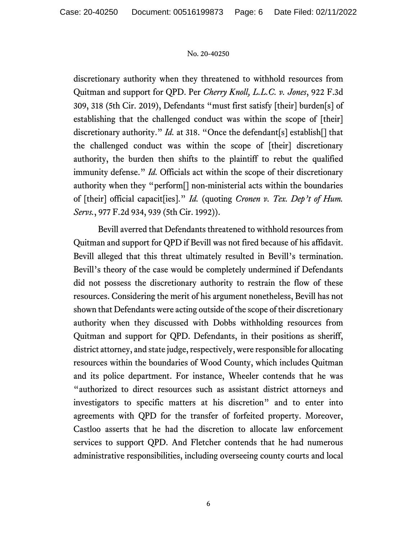discretionary authority when they threatened to withhold resources from Quitman and support for QPD. Per *Cherry Knoll, L.L.C. v. Jones*, 922 F.3d 309, 318 (5th Cir. 2019), Defendants "must first satisfy [their] burden[s] of establishing that the challenged conduct was within the scope of [their] discretionary authority." *Id.* at 318. "Once the defendant[s] establish[] that the challenged conduct was within the scope of [their] discretionary authority, the burden then shifts to the plaintiff to rebut the qualified immunity defense." *Id.* Officials act within the scope of their discretionary authority when they "perform[] non-ministerial acts within the boundaries of [their] official capacit[ies]." *Id.* (quoting *Cronen v. Tex. Dep't of Hum. Servs.*, 977 F.2d 934, 939 (5th Cir. 1992)).

Bevill averred that Defendants threatened to withhold resources from Quitman and support for QPD if Bevill was not fired because of his affidavit. Bevill alleged that this threat ultimately resulted in Bevill's termination. Bevill's theory of the case would be completely undermined if Defendants did not possess the discretionary authority to restrain the flow of these resources. Considering the merit of his argument nonetheless, Bevill has not shown that Defendants were acting outside of the scope of their discretionary authority when they discussed with Dobbs withholding resources from Quitman and support for QPD. Defendants, in their positions as sheriff, district attorney, and state judge, respectively, were responsible for allocating resources within the boundaries of Wood County, which includes Quitman and its police department. For instance, Wheeler contends that he was "authorized to direct resources such as assistant district attorneys and investigators to specific matters at his discretion" and to enter into agreements with QPD for the transfer of forfeited property. Moreover, Castloo asserts that he had the discretion to allocate law enforcement services to support QPD. And Fletcher contends that he had numerous administrative responsibilities, including overseeing county courts and local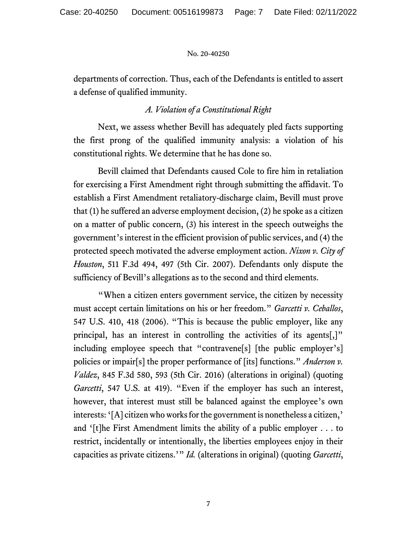departments of correction. Thus, each of the Defendants is entitled to assert a defense of qualified immunity.

# *A. Violation of a Constitutional Right*

Next, we assess whether Bevill has adequately pled facts supporting the first prong of the qualified immunity analysis: a violation of his constitutional rights. We determine that he has done so.

Bevill claimed that Defendants caused Cole to fire him in retaliation for exercising a First Amendment right through submitting the affidavit. To establish a First Amendment retaliatory-discharge claim, Bevill must prove that (1) he suffered an adverse employment decision, (2) he spoke as a citizen on a matter of public concern, (3) his interest in the speech outweighs the government's interest in the efficient provision of public services, and (4) the protected speech motivated the adverse employment action. *Nixon v. City of Houston*, 511 F.3d 494, 497 (5th Cir. 2007). Defendants only dispute the sufficiency of Bevill's allegations as to the second and third elements.

"When a citizen enters government service, the citizen by necessity must accept certain limitations on his or her freedom." *Garcetti v. Ceballos*, 547 U.S. 410, 418 (2006). "This is because the public employer, like any principal, has an interest in controlling the activities of its agents[,]" including employee speech that "contravene[s] [the public employer's] policies or impair[s] the proper performance of [its] functions." *Anderson v. Valdez*, 845 F.3d 580, 593 (5th Cir. 2016) (alterations in original) (quoting *Garcetti*, 547 U.S. at 419). "Even if the employer has such an interest, however, that interest must still be balanced against the employee's own interests: '[A] citizen who works for the government is nonetheless a citizen,' and '[t]he First Amendment limits the ability of a public employer . . . to restrict, incidentally or intentionally, the liberties employees enjoy in their capacities as private citizens.'" *Id.* (alterations in original) (quoting *Garcetti*,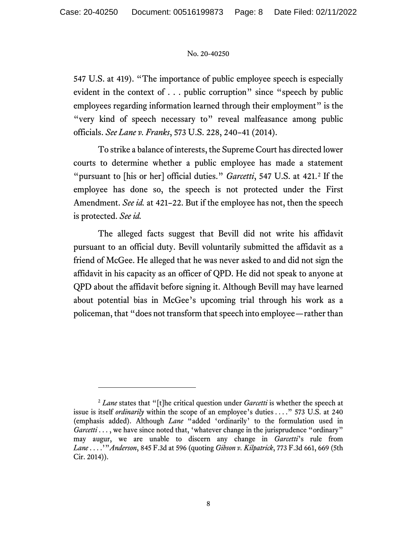547 U.S. at 419). "The importance of public employee speech is especially evident in the context of . . . public corruption" since "speech by public employees regarding information learned through their employment" is the "very kind of speech necessary to" reveal malfeasance among public officials. *See Lane v. Franks*, 573 U.S. 228, 240–41 (2014).

To strike a balance of interests, the Supreme Court has directed lower courts to determine whether a public employee has made a statement "pursuant to [his or her] official duties." *Garcetti*, 547 U.S. at 421.[2](#page-7-0) If the employee has done so, the speech is not protected under the First Amendment. *See id.* at 421–22. But if the employee has not, then the speech is protected. *See id.*

The alleged facts suggest that Bevill did not write his affidavit pursuant to an official duty. Bevill voluntarily submitted the affidavit as a friend of McGee. He alleged that he was never asked to and did not sign the affidavit in his capacity as an officer of QPD. He did not speak to anyone at QPD about the affidavit before signing it. Although Bevill may have learned about potential bias in McGee's upcoming trial through his work as a policeman, that "does not transform that speech into employee—rather than

<span id="page-7-0"></span><sup>2</sup> *Lane* states that "[t]he critical question under *Garcetti* is whether the speech at issue is itself *ordinarily* within the scope of an employee's duties . . . ." 573 U.S. at 240 (emphasis added). Although *Lane* "added 'ordinarily' to the formulation used in *Garcetti* . . . , we have since noted that, 'whatever change in the jurisprudence "ordinary" may augur, we are unable to discern any change in *Garcetti*'s rule from *Lane* . . . .'"*Anderson*, 845 F.3d at 596 (quoting *Gibson v. Kilpatrick*, 773 F.3d 661, 669 (5th Cir. 2014)).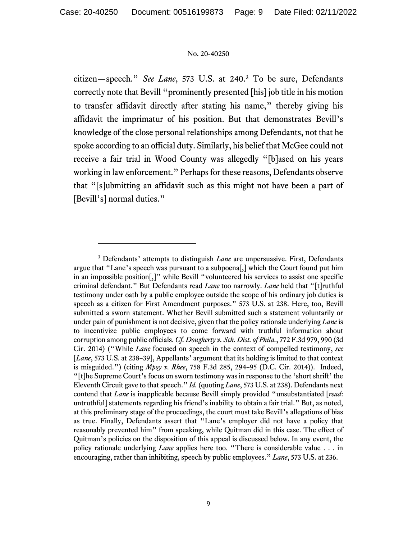citizen—speech." *See Lane*, 573 U.S. at 240.[3](#page-8-0) To be sure, Defendants correctly note that Bevill "prominently presented [his] job title in his motion to transfer affidavit directly after stating his name," thereby giving his affidavit the imprimatur of his position. But that demonstrates Bevill's knowledge of the close personal relationships among Defendants, not that he spoke according to an official duty. Similarly, his belief that McGee could not receive a fair trial in Wood County was allegedly "[b]ased on his years working in law enforcement." Perhaps for these reasons, Defendants observe that "[s]ubmitting an affidavit such as this might not have been a part of [Bevill's] normal duties."

<span id="page-8-0"></span><sup>&</sup>lt;sup>3</sup> Defendants' attempts to distinguish *Lane* are unpersuasive. First, Defendants argue that "Lane's speech was pursuant to a subpoena[,] which the Court found put him in an impossible position[,]" while Bevill "volunteered his services to assist one specific criminal defendant." But Defendants read *Lane* too narrowly. *Lane* held that "[t]ruthful testimony under oath by a public employee outside the scope of his ordinary job duties is speech as a citizen for First Amendment purposes." 573 U.S. at 238. Here, too, Bevill submitted a sworn statement. Whether Bevill submitted such a statement voluntarily or under pain of punishment is not decisive, given that the policy rationale underlying *Lane* is to incentivize public employees to come forward with truthful information about corruption among public officials. *Cf. Dougherty v. Sch. Dist. of Phila.*, 772 F.3d 979, 990 (3d Cir. 2014) ("While *Lane* focused on speech in the context of compelled testimony, *see* [*Lane*, 573 U.S. at 238–39], Appellants' argument that its holding is limited to that context is misguided.") (citing *Mpoy v. Rhee*, 758 F.3d 285, 294–95 (D.C. Cir. 2014)). Indeed, "[t]he Supreme Court's focus on sworn testimony was in response to the 'short shrift' the Eleventh Circuit gave to that speech." *Id.* (quoting *Lane*, 573 U.S. at 238). Defendants next contend that *Lane* is inapplicable because Bevill simply provided "unsubstantiated [*read*: untruthful] statements regarding his friend's inability to obtain a fair trial." But, as noted, at this preliminary stage of the proceedings, the court must take Bevill's allegations of bias as true. Finally, Defendants assert that "Lane's employer did not have a policy that reasonably prevented him" from speaking, while Quitman did in this case. The effect of Quitman's policies on the disposition of this appeal is discussed below. In any event, the policy rationale underlying *Lane* applies here too. "There is considerable value . . . in encouraging, rather than inhibiting, speech by public employees." *Lane*, 573 U.S. at 236.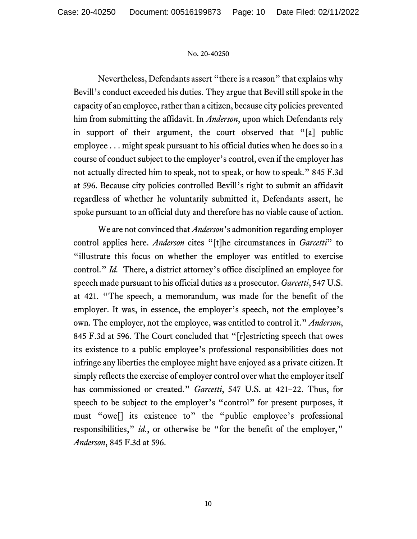Nevertheless, Defendants assert "there is a reason" that explains why Bevill's conduct exceeded his duties. They argue that Bevill still spoke in the capacity of an employee, rather than a citizen, because city policies prevented him from submitting the affidavit. In *Anderson*, upon which Defendants rely in support of their argument, the court observed that "[a] public employee . . . might speak pursuant to his official duties when he does so in a course of conduct subject to the employer's control, even if the employer has not actually directed him to speak, not to speak, or how to speak." 845 F.3d at 596. Because city policies controlled Bevill's right to submit an affidavit regardless of whether he voluntarily submitted it, Defendants assert, he spoke pursuant to an official duty and therefore has no viable cause of action.

We are not convinced that *Anderson*'s admonition regarding employer control applies here. *Anderson* cites "[t]he circumstances in *Garcetti*" to "illustrate this focus on whether the employer was entitled to exercise control." *Id.* There, a district attorney's office disciplined an employee for speech made pursuant to his official duties as a prosecutor. *Garcetti*, 547 U.S. at 421. "The speech, a memorandum, was made for the benefit of the employer. It was, in essence, the employer's speech, not the employee's own. The employer, not the employee, was entitled to control it." *Anderson*, 845 F.3d at 596. The Court concluded that "[r]estricting speech that owes its existence to a public employee's professional responsibilities does not infringe any liberties the employee might have enjoyed as a private citizen. It simply reflects the exercise of employer control over what the employer itself has commissioned or created." *Garcetti*, 547 U.S. at 421–22. Thus, for speech to be subject to the employer's "control" for present purposes, it must "owe[] its existence to" the "public employee's professional responsibilities," *id.*, or otherwise be "for the benefit of the employer," *Anderson*, 845 F.3d at 596.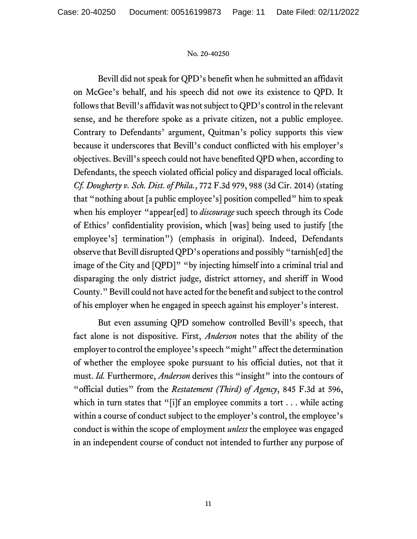Bevill did not speak for QPD's benefit when he submitted an affidavit on McGee's behalf, and his speech did not owe its existence to QPD. It follows that Bevill's affidavit was not subject to QPD's control in the relevant sense, and he therefore spoke as a private citizen, not a public employee. Contrary to Defendants' argument, Quitman's policy supports this view because it underscores that Bevill's conduct conflicted with his employer's objectives. Bevill's speech could not have benefited QPD when, according to Defendants, the speech violated official policy and disparaged local officials. *Cf. Dougherty v. Sch. Dist. of Phila.*, 772 F.3d 979, 988 (3d Cir. 2014) (stating that "nothing about [a public employee's] position compelled" him to speak when his employer "appear[ed] to *discourage* such speech through its Code of Ethics' confidentiality provision, which [was] being used to justify [the employee's] termination") (emphasis in original). Indeed, Defendants observe that Bevill disrupted QPD's operations and possibly "tarnish[ed] the image of the City and [QPD]" "by injecting himself into a criminal trial and disparaging the only district judge, district attorney, and sheriff in Wood County." Bevill could not have acted for the benefit and subject to the control of his employer when he engaged in speech against his employer's interest.

But even assuming QPD somehow controlled Bevill's speech, that fact alone is not dispositive. First, *Anderson* notes that the ability of the employer to control the employee's speech "might" affect the determination of whether the employee spoke pursuant to his official duties, not that it must. *Id.* Furthermore, *Anderson* derives this "insight" into the contours of "official duties" from the *Restatement (Third) of Agency*, 845 F.3d at 596, which in turn states that "[i]f an employee commits a tort . . . while acting within a course of conduct subject to the employer's control, the employee's conduct is within the scope of employment *unless* the employee was engaged in an independent course of conduct not intended to further any purpose of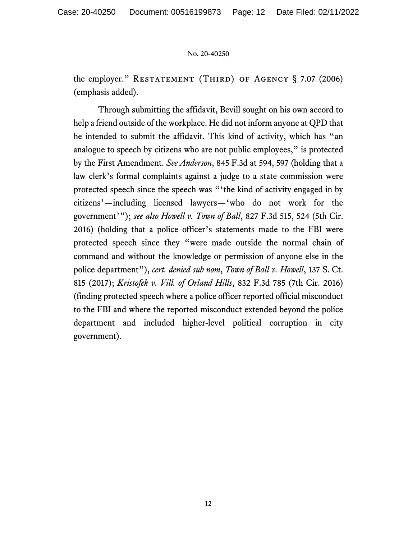the employer." RESTATEMENT (THIRD) OF AGENCY  $\S$  7.07 (2006) (emphasis added).

Through submitting the affidavit, Bevill sought on his own accord to help a friend outside of the workplace. He did not inform anyone at QPD that he intended to submit the affidavit. This kind of activity, which has "an analogue to speech by citizens who are not public employees," is protected by the First Amendment. *See Anderson*, 845 F.3d at 594, 597 (holding that a law clerk's formal complaints against a judge to a state commission were protected speech since the speech was "'the kind of activity engaged in by citizens'—including licensed lawyers—'who do not work for the government'"); *see also Howell v. Town of Ball*, 827 F.3d 515, 524 (5th Cir. 2016) (holding that a police officer's statements made to the FBI were protected speech since they "were made outside the normal chain of command and without the knowledge or permission of anyone else in the police department"), *cert. denied sub nom*, *Town of Ball v. Howell*, 137 S. Ct. 815 (2017); *Kristofek v. Vill. of Orland Hills*, 832 F.3d 785 (7th Cir. 2016) (finding protected speech where a police officer reported official misconduct to the FBI and where the reported misconduct extended beyond the police department and included higher-level political corruption in city government).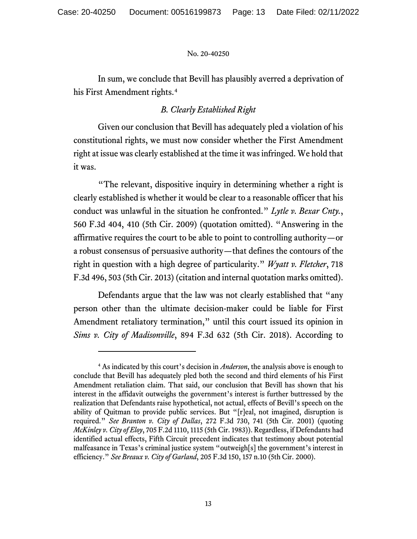In sum, we conclude that Bevill has plausibly averred a deprivation of his First Amendment rights.<sup>[4](#page-12-0)</sup>

# *B. Clearly Established Right*

Given our conclusion that Bevill has adequately pled a violation of his constitutional rights, we must now consider whether the First Amendment right at issue was clearly established at the time it was infringed. We hold that it was.

"The relevant, dispositive inquiry in determining whether a right is clearly established is whether it would be clear to a reasonable officer that his conduct was unlawful in the situation he confronted." *Lytle v. Bexar Cnty.*, 560 F.3d 404, 410 (5th Cir. 2009) (quotation omitted). "Answering in the affirmative requires the court to be able to point to controlling authority—or a robust consensus of persuasive authority—that defines the contours of the right in question with a high degree of particularity." *Wyatt v. Fletcher*, 718 F.3d 496, 503 (5th Cir. 2013) (citation and internal quotation marks omitted).

Defendants argue that the law was not clearly established that "any person other than the ultimate decision-maker could be liable for First Amendment retaliatory termination," until this court issued its opinion in *Sims v. City of Madisonville*, 894 F.3d 632 (5th Cir. 2018). According to

<span id="page-12-0"></span><sup>4</sup> As indicated by this court's decision in *Anderson*, the analysis above is enough to conclude that Bevill has adequately pled both the second and third elements of his First Amendment retaliation claim. That said, our conclusion that Bevill has shown that his interest in the affidavit outweighs the government's interest is further buttressed by the realization that Defendants raise hypothetical, not actual, effects of Bevill's speech on the ability of Quitman to provide public services. But "[r]eal, not imagined, disruption is required." *See Branton v. City of Dallas*, 272 F.3d 730, 741 (5th Cir. 2001) (quoting *McKinley v. City of Eloy*, 705 F.2d 1110, 1115 (5th Cir. 1983)). Regardless, if Defendants had identified actual effects, Fifth Circuit precedent indicates that testimony about potential malfeasance in Texas's criminal justice system "outweigh[s] the government's interest in efficiency." *See Breaux v. City of Garland*, 205 F.3d 150, 157 n.10 (5th Cir. 2000).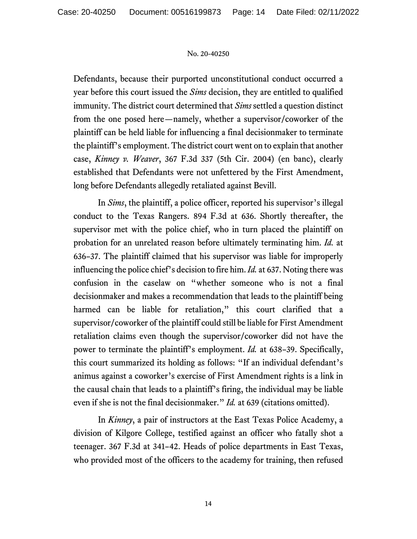Defendants, because their purported unconstitutional conduct occurred a year before this court issued the *Sims* decision, they are entitled to qualified immunity. The district court determined that *Sims* settled a question distinct from the one posed here—namely, whether a supervisor/coworker of the plaintiff can be held liable for influencing a final decisionmaker to terminate the plaintiff's employment. The district court went on to explain that another case, *Kinney v. Weaver*, 367 F.3d 337 (5th Cir. 2004) (en banc), clearly established that Defendants were not unfettered by the First Amendment, long before Defendants allegedly retaliated against Bevill.

In *Sims*, the plaintiff, a police officer, reported his supervisor's illegal conduct to the Texas Rangers. 894 F.3d at 636. Shortly thereafter, the supervisor met with the police chief, who in turn placed the plaintiff on probation for an unrelated reason before ultimately terminating him. *Id.* at 636–37. The plaintiff claimed that his supervisor was liable for improperly influencing the police chief's decision to fire him. *Id.* at 637. Noting there was confusion in the caselaw on "whether someone who is not a final decisionmaker and makes a recommendation that leads to the plaintiff being harmed can be liable for retaliation," this court clarified that a supervisor/coworker of the plaintiff could still be liable for First Amendment retaliation claims even though the supervisor/coworker did not have the power to terminate the plaintiff's employment. *Id.* at 638–39. Specifically, this court summarized its holding as follows: "If an individual defendant's animus against a coworker's exercise of First Amendment rights is a link in the causal chain that leads to a plaintiff's firing, the individual may be liable even if she is not the final decisionmaker." *Id.* at 639 (citations omitted).

In *Kinney*, a pair of instructors at the East Texas Police Academy, a division of Kilgore College, testified against an officer who fatally shot a teenager. 367 F.3d at 341–42. Heads of police departments in East Texas, who provided most of the officers to the academy for training, then refused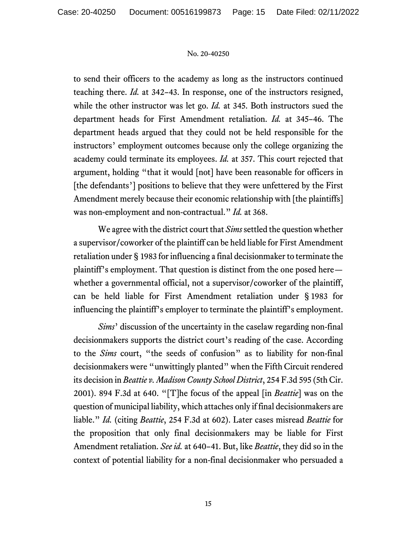to send their officers to the academy as long as the instructors continued teaching there. *Id.* at 342–43. In response, one of the instructors resigned, while the other instructor was let go. *Id.* at 345. Both instructors sued the department heads for First Amendment retaliation. *Id.* at 345–46. The department heads argued that they could not be held responsible for the instructors' employment outcomes because only the college organizing the academy could terminate its employees. *Id.* at 357. This court rejected that argument, holding "that it would [not] have been reasonable for officers in [the defendants'] positions to believe that they were unfettered by the First Amendment merely because their economic relationship with [the plaintiffs] was non-employment and non-contractual." *Id.* at 368.

We agree with the district court that *Sims* settled the question whether a supervisor/coworker of the plaintiff can be held liable for First Amendment retaliation under § 1983 for influencing a final decisionmaker to terminate the plaintiff's employment. That question is distinct from the one posed here whether a governmental official, not a supervisor/coworker of the plaintiff, can be held liable for First Amendment retaliation under § 1983 for influencing the plaintiff's employer to terminate the plaintiff's employment.

*Sims*' discussion of the uncertainty in the caselaw regarding non-final decisionmakers supports the district court's reading of the case. According to the *Sims* court, "the seeds of confusion" as to liability for non-final decisionmakers were "unwittingly planted" when the Fifth Circuit rendered its decision in *Beattie v. Madison County School District*, 254 F.3d 595 (5th Cir. 2001). 894 F.3d at 640. "[T]he focus of the appeal [in *Beattie*] was on the question of municipal liability, which attaches only if final decisionmakers are liable." *Id.* (citing *Beattie*, 254 F.3d at 602). Later cases misread *Beattie* for the proposition that only final decisionmakers may be liable for First Amendment retaliation. *See id.* at 640–41. But, like *Beattie*, they did so in the context of potential liability for a non-final decisionmaker who persuaded a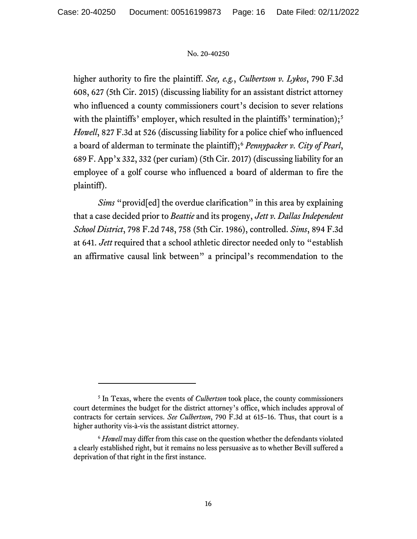higher authority to fire the plaintiff. *See, e.g.*, *Culbertson v. Lykos*, 790 F.3d 608, 627 (5th Cir. 2015) (discussing liability for an assistant district attorney who influenced a county commissioners court's decision to sever relations with the plaintiffs' employer, which resulted in the plaintiffs' termination);<sup>[5](#page-15-0)</sup> *Howell*, 827 F.3d at 526 (discussing liability for a police chief who influenced a board of alderman to terminate the plaintiff);[6](#page-15-1) *Pennypacker v. City of Pearl*, 689 F. App'x 332, 332 (per curiam) (5th Cir. 2017) (discussing liability for an employee of a golf course who influenced a board of alderman to fire the plaintiff).

*Sims* "provided] the overdue clarification" in this area by explaining that a case decided prior to *Beattie* and its progeny, *Jett v. Dallas Independent School District*, 798 F.2d 748, 758 (5th Cir. 1986), controlled. *Sims*, 894 F.3d at 641. *Jett* required that a school athletic director needed only to "establish an affirmative causal link between" a principal's recommendation to the

<span id="page-15-0"></span><sup>5</sup> In Texas, where the events of *Culbertson* took place, the county commissioners court determines the budget for the district attorney's office, which includes approval of contracts for certain services. *See Culbertson*, 790 F.3d at 615–16. Thus, that court is a higher authority vis-à-vis the assistant district attorney.

<span id="page-15-1"></span><sup>&</sup>lt;sup>6</sup> *Howell* may differ from this case on the question whether the defendants violated a clearly established right, but it remains no less persuasive as to whether Bevill suffered a deprivation of that right in the first instance.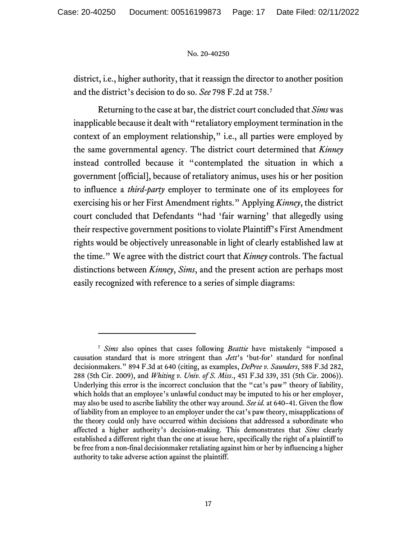district, i.e., higher authority, that it reassign the director to another position and the district's decision to do so. *See* 798 F.2d at 758.[7](#page-16-0)

Returning to the case at bar, the district court concluded that *Sims* was inapplicable because it dealt with "retaliatory employment termination in the context of an employment relationship," i.e., all parties were employed by the same governmental agency. The district court determined that *Kinney* instead controlled because it "contemplated the situation in which a government [official], because of retaliatory animus, uses his or her position to influence a *third-party* employer to terminate one of its employees for exercising his or her First Amendment rights." Applying *Kinney*, the district court concluded that Defendants "had 'fair warning' that allegedly using their respective government positions to violate Plaintiff's First Amendment rights would be objectively unreasonable in light of clearly established law at the time." We agree with the district court that *Kinney* controls. The factual distinctions between *Kinney*, *Sims*, and the present action are perhaps most easily recognized with reference to a series of simple diagrams:

<span id="page-16-0"></span><sup>7</sup> *Sims* also opines that cases following *Beattie* have mistakenly "imposed a causation standard that is more stringent than *Jett*'s 'but-for' standard for nonfinal decisionmakers." 894 F.3d at 640 (citing, as examples, *DePree v. Saunders*, 588 F.3d 282, 288 (5th Cir. 2009), and *Whiting v. Univ. of S. Miss*., 451 F.3d 339, 351 (5th Cir. 2006)). Underlying this error is the incorrect conclusion that the "cat's paw" theory of liability, which holds that an employee's unlawful conduct may be imputed to his or her employer, may also be used to ascribe liability the other way around. *See id.* at 640–41. Given the flow of liability from an employee to an employer under the cat's paw theory, misapplications of the theory could only have occurred within decisions that addressed a subordinate who affected a higher authority's decision-making. This demonstrates that *Sims* clearly established a different right than the one at issue here, specifically the right of a plaintiff to be free from a non-final decisionmaker retaliating against him or her by influencing a higher authority to take adverse action against the plaintiff.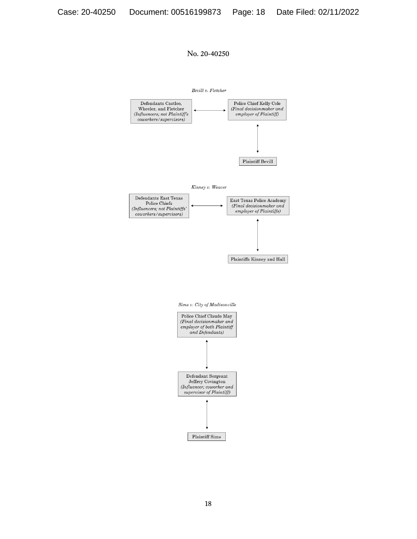

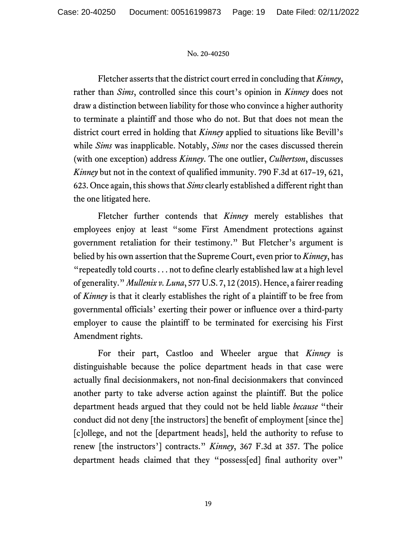Fletcher asserts that the district court erred in concluding that *Kinney*, rather than *Sims*, controlled since this court's opinion in *Kinney* does not draw a distinction between liability for those who convince a higher authority to terminate a plaintiff and those who do not. But that does not mean the district court erred in holding that *Kinney* applied to situations like Bevill's while *Sims* was inapplicable. Notably, *Sims* nor the cases discussed therein (with one exception) address *Kinney*. The one outlier, *Culbertson*, discusses *Kinney* but not in the context of qualified immunity. 790 F.3d at 617–19, 621, 623. Once again, this shows that *Sims* clearly established a different right than the one litigated here.

Fletcher further contends that *Kinney* merely establishes that employees enjoy at least "some First Amendment protections against government retaliation for their testimony." But Fletcher's argument is belied by his own assertion that the Supreme Court, even prior to *Kinney*, has "repeatedly told courts . . . not to define clearly established law at a high level of generality." *Mullenix v. Luna*, 577 U.S. 7, 12 (2015). Hence, a fairer reading of *Kinney* is that it clearly establishes the right of a plaintiff to be free from governmental officials' exerting their power or influence over a third-party employer to cause the plaintiff to be terminated for exercising his First Amendment rights.

For their part, Castloo and Wheeler argue that *Kinney* is distinguishable because the police department heads in that case were actually final decisionmakers, not non-final decisionmakers that convinced another party to take adverse action against the plaintiff. But the police department heads argued that they could not be held liable *because* "their conduct did not deny [the instructors] the benefit of employment [since the] [c]ollege, and not the [department heads], held the authority to refuse to renew [the instructors'] contracts." *Kinney*, 367 F.3d at 357. The police department heads claimed that they "possess[ed] final authority over"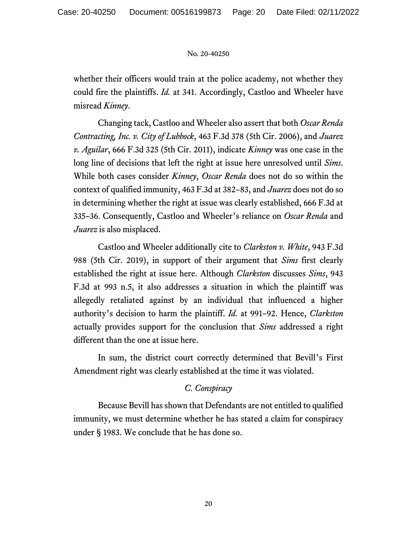whether their officers would train at the police academy, not whether they could fire the plaintiffs. *Id.* at 341. Accordingly, Castloo and Wheeler have misread *Kinney*.

Changing tack, Castloo and Wheeler also assert that both *Oscar Renda Contracting, Inc. v. City of Lubbock*, 463 F.3d 378 (5th Cir. 2006), and *Juarez v. Aguilar*, 666 F.3d 325 (5th Cir. 2011), indicate *Kinney* was one case in the long line of decisions that left the right at issue here unresolved until *Sims*. While both cases consider *Kinney*, *Oscar Renda* does not do so within the context of qualified immunity, 463 F.3d at 382–83, and *Juarez* does not do so in determining whether the right at issue was clearly established, 666 F.3d at 335–36. Consequently, Castloo and Wheeler's reliance on *Oscar Renda* and *Juarez* is also misplaced.

Castloo and Wheeler additionally cite to *Clarkston v. White*, 943 F.3d 988 (5th Cir. 2019), in support of their argument that *Sims* first clearly established the right at issue here. Although *Clarkston* discusses *Sims*, 943 F.3d at 993 n.5, it also addresses a situation in which the plaintiff was allegedly retaliated against by an individual that influenced a higher authority's decision to harm the plaintiff. *Id.* at 991–92. Hence, *Clarkston* actually provides support for the conclusion that *Sims* addressed a right different than the one at issue here.

In sum, the district court correctly determined that Bevill's First Amendment right was clearly established at the time it was violated.

# *C. Conspiracy*

Because Bevill has shown that Defendants are not entitled to qualified immunity, we must determine whether he has stated a claim for conspiracy under § 1983. We conclude that he has done so.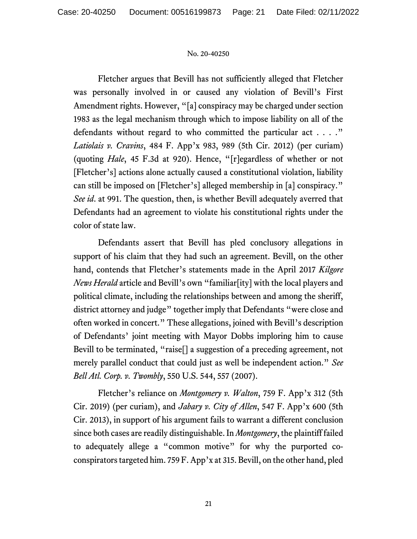Fletcher argues that Bevill has not sufficiently alleged that Fletcher was personally involved in or caused any violation of Bevill's First Amendment rights. However, "[a] conspiracy may be charged under section 1983 as the legal mechanism through which to impose liability on all of the defendants without regard to who committed the particular act . . . ." *Latiolais v. Cravins*, 484 F. App'x 983, 989 (5th Cir. 2012) (per curiam) (quoting *Hale*, 45 F.3d at 920). Hence, "[r]egardless of whether or not [Fletcher's] actions alone actually caused a constitutional violation, liability can still be imposed on [Fletcher's] alleged membership in [a] conspiracy." *See id*. at 991. The question, then, is whether Bevill adequately averred that Defendants had an agreement to violate his constitutional rights under the color of state law.

Defendants assert that Bevill has pled conclusory allegations in support of his claim that they had such an agreement. Bevill, on the other hand, contends that Fletcher's statements made in the April 2017 *Kilgore News Herald* article and Bevill's own "familiar[ity] with the local players and political climate, including the relationships between and among the sheriff, district attorney and judge" together imply that Defendants "were close and often worked in concert." These allegations, joined with Bevill's description of Defendants' joint meeting with Mayor Dobbs imploring him to cause Bevill to be terminated, "raise[] a suggestion of a preceding agreement, not merely parallel conduct that could just as well be independent action." *See Bell Atl. Corp. v. Twombly*, 550 U.S. 544, 557 (2007).

Fletcher's reliance on *Montgomery v. Walton*, 759 F. App'x 312 (5th Cir. 2019) (per curiam), and *Jabary v. City of Allen*, 547 F. App'x 600 (5th Cir. 2013), in support of his argument fails to warrant a different conclusion since both cases are readily distinguishable. In *Montgomery*, the plaintiff failed to adequately allege a "common motive" for why the purported coconspirators targeted him. 759 F. App'x at 315. Bevill, on the other hand, pled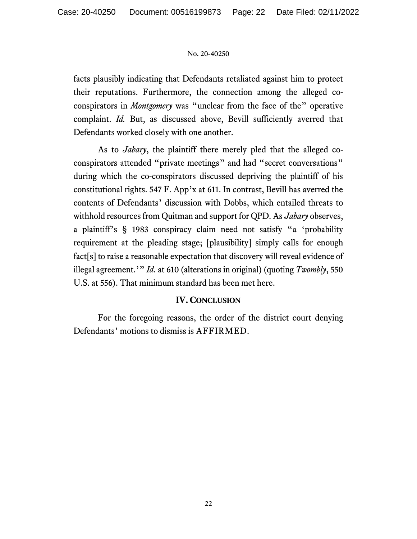facts plausibly indicating that Defendants retaliated against him to protect their reputations. Furthermore, the connection among the alleged coconspirators in *Montgomery* was "unclear from the face of the" operative complaint. *Id.* But, as discussed above, Bevill sufficiently averred that Defendants worked closely with one another.

As to *Jabary*, the plaintiff there merely pled that the alleged coconspirators attended "private meetings" and had "secret conversations" during which the co-conspirators discussed depriving the plaintiff of his constitutional rights. 547 F. App'x at 611. In contrast, Bevill has averred the contents of Defendants' discussion with Dobbs, which entailed threats to withhold resources from Quitman and support for QPD. As *Jabary* observes, a plaintiff's § 1983 conspiracy claim need not satisfy "a 'probability requirement at the pleading stage; [plausibility] simply calls for enough fact[s] to raise a reasonable expectation that discovery will reveal evidence of illegal agreement.'" *Id.* at 610 (alterations in original) (quoting *Twombly*, 550 U.S. at 556). That minimum standard has been met here.

# **IV. CONCLUSION**

For the foregoing reasons, the order of the district court denying Defendants' motions to dismiss is AFFIRMED.